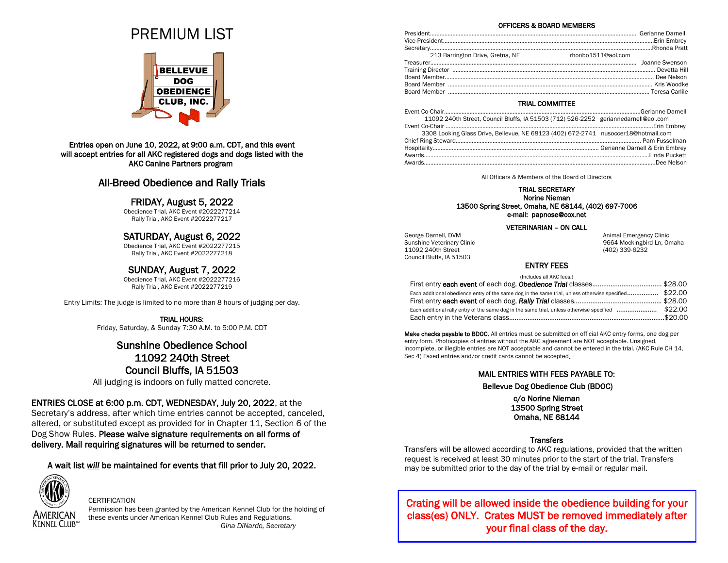# PREMIUM LIST



### Entries open on June 10, 2022, at 9:00 a.m. CDT, and this event will accept entries for all AKC registered dogs and dogs listed with the AKC Canine Partners program

# All-Breed Obedience and Rally Trials

## FRIDAY, August 5, 2022

Obedience Trial, AKC Event #2022277214 Rally Trial, AKC Event #2022277217

## SATURDAY, August 6, 2022

Obedience Trial, AKC Event #2022277215 Rally Trial, AKC Event #2022277218

## SUNDAY, August 7, 2022

Obedience Trial, AKC Event #2022277216 Rally Trial, AKC Event #2022277219

Entry Limits: The judge is limited to no more than 8 hours of judging per day.

TRIAL HOURS: Friday, Saturday, & Sunday 7:30 A.M. to 5:00 P.M. CDT

# Sunshine Obedience School 11092 240th Street Council Bluffs, IA 51503

All judging is indoors on fully matted concrete.

## ENTRIES CLOSE at 6:00 p.m. CDT, WEDNESDAY, July 20, 2022, at the

Secretary's address, after which time entries cannot be accepted, canceled, altered, or substituted except as provided for in Chapter 11, Section 6 of the Dog Show Rules. Please waive signature requirements on all forms of delivery. Mail requiring signatures will be returned to sender.

A wait list *will* be maintained for events that fill prior to July 20, 2022.



### CERTIFICATION

Permission has been granted by the American Kennel Club for the holding of these events under American Kennel Club Rules and Regulations. *Gina DiNardo, Secretary*

#### OFFICERS & BOARD MEMBERS

| 213 Barrington Drive, Gretna, NE<br>rhonbo1511@aol.com |  |
|--------------------------------------------------------|--|
|                                                        |  |
|                                                        |  |
|                                                        |  |
|                                                        |  |
|                                                        |  |
|                                                        |  |
|                                                        |  |
|                                                        |  |

# TRIAL COMMITTEE

| 11092 240th Street, Council Bluffs, IA 51503 (712) 526-2252 geriannedarnell@aol.com |  |
|-------------------------------------------------------------------------------------|--|
|                                                                                     |  |
| 3308 Looking Glass Drive, Bellevue, NE 68123 (402) 672-2741 nusoccer18@hotmail.com  |  |
|                                                                                     |  |
|                                                                                     |  |
|                                                                                     |  |
|                                                                                     |  |

All Officers & Members of the Board of Directors

#### TRIAL SECRETARY Norine Nieman 13500 Spring Street, Omaha, NE 68144, (402) 697-7006 e-mail: papnose@cox.net

#### VETERINARIAN – ON CALL

11092 240th Street (402) 339-6232 Council Bluffs, IA 51503

George Darnell, DVM and The Contract of the Contract of Animal Emergency Clinic Sunshine Veterinary Clinic **9664** Mockingbird Ln, Omaha

## ENTRY FEES

| (Includes all AKC fees.)                                                                              |  |
|-------------------------------------------------------------------------------------------------------|--|
|                                                                                                       |  |
| Each additional obedience entry of the same dog in the same trial, unless otherwise specified \$22.00 |  |
|                                                                                                       |  |
|                                                                                                       |  |
|                                                                                                       |  |

Make checks payable to BDOC. All entries must be submitted on official AKC entry forms, one dog per entry form. Photocopies of entries without the AKC agreement are NOT acceptable. Unsigned, incomplete, or illegible entries are NOT acceptable and cannot be entered in the trial. (AKC Rule CH 14, Sec 4) Faxed entries and/or credit cards cannot be accepted.

### MAIL ENTRIES WITH FEES PAYABLE TO:

Bellevue Dog Obedience Club (BDOC)

c/o Norine Nieman 13500 Spring Street Omaha, NE 68144

## Transfers

Transfers will be allowed according to AKC regulations, provided that the written request is received at least 30 minutes prior to the start of the trial. Transfers may be submitted prior to the day of the trial by e-mail or regular mail.

Crating will be allowed inside the obedience building for your class(es) ONLY. Crates MUST be removed immediately after your final class of the day.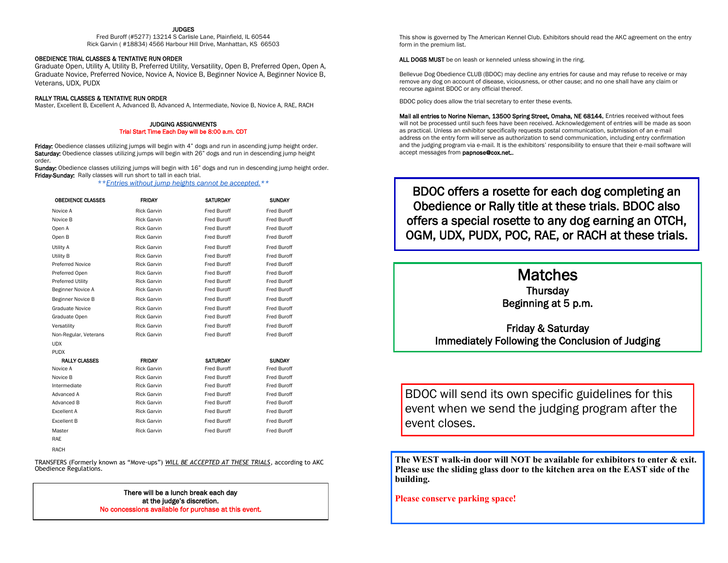#### JUDGES

Fred Buroff (#5277) 13214 S Carlisle Lane, Plainfield, IL 60544 Rick Garvin ( #18834) 4566 Harbour Hill Drive, Manhattan, KS 66503

#### OBEDIENCE TRIAL CLASSES & TENTATIVE RUN ORDER

Graduate Open, Utility A, Utility B, Preferred Utility, Versatility, Open B, Preferred Open, Open A, Graduate Novice, Preferred Novice, Novice A, Novice B, Beginner Novice A, Beginner Novice B, Veterans, UDX, PUDX

#### RALLY TRIAL CLASSES & TENTATIVE RUN ORDER

Master, Excellent B, Excellent A, Advanced B, Advanced A, Intermediate, Novice B, Novice A, RAE, RACH

#### JUDGING ASSIGNMENTS Trial Start Time Each Day will be 8:00 a.m. CDT

Friday: Obedience classes utilizing jumps will begin with 4" dogs and run in ascending jump height order. Saturday: Obedience classes utilizing jumps will begin with 26" dogs and run in descending jump height order.

Sunday: Obedience classes utilizing jumps will begin with 16" dogs and run in descending jump height order. Friday-Sunday: Rally classes will run short to tall in each trial.

\*\**Entries without jump heights cannot be accepted.\*\**

| <b>OBEDIENCE CLASSES</b> | <b>FRIDAY</b>      | <b>SATURDAY</b>    | <b>SUNDAY</b>      |
|--------------------------|--------------------|--------------------|--------------------|
| Novice A                 | <b>Rick Garvin</b> | <b>Fred Buroff</b> | Fred Buroff        |
| Novice B                 | <b>Rick Garvin</b> | <b>Fred Buroff</b> | <b>Fred Buroff</b> |
| Open A                   | <b>Rick Garvin</b> | <b>Fred Buroff</b> | Fred Buroff        |
| Open B                   | <b>Rick Garvin</b> | <b>Fred Buroff</b> | Fred Buroff        |
| Utility A                | <b>Rick Garvin</b> | <b>Fred Buroff</b> | Fred Buroff        |
| Utility B                | <b>Rick Garvin</b> | <b>Fred Buroff</b> | <b>Fred Buroff</b> |
| <b>Preferred Novice</b>  | <b>Rick Garvin</b> | Fred Buroff        | Fred Buroff        |
| Preferred Open           | <b>Rick Garvin</b> | <b>Fred Buroff</b> | Fred Buroff        |
| Preferred Utility        | <b>Rick Garvin</b> | <b>Fred Buroff</b> | Fred Buroff        |
| Beginner Novice A        | <b>Rick Garvin</b> | <b>Fred Buroff</b> | <b>Fred Buroff</b> |
| Beginner Novice B        | <b>Rick Garvin</b> | Fred Buroff        | Fred Buroff        |
| <b>Graduate Novice</b>   | <b>Rick Garvin</b> | Fred Buroff        | Fred Buroff        |
| Graduate Open            | <b>Rick Garvin</b> | <b>Fred Buroff</b> | <b>Fred Buroff</b> |
| Versatility              | <b>Rick Garvin</b> | Fred Buroff        | Fred Buroff        |
| Non-Regular, Veterans    | <b>Rick Garvin</b> | <b>Fred Buroff</b> | <b>Fred Buroff</b> |
| <b>UDX</b>               |                    |                    |                    |
| <b>PUDX</b>              |                    |                    |                    |
| <b>RALLY CLASSES</b>     | <b>FRIDAY</b>      | <b>SATURDAY</b>    | <b>SUNDAY</b>      |
| Novice A                 | <b>Rick Garvin</b> | Fred Buroff        | Fred Buroff        |
| Novice B                 | <b>Rick Garvin</b> | <b>Fred Buroff</b> | Fred Buroff        |
| Intermediate             | <b>Rick Garvin</b> | <b>Fred Buroff</b> | Fred Buroff        |
| Advanced A               | <b>Rick Garvin</b> | Fred Buroff        | <b>Fred Buroff</b> |
| Advanced B               | <b>Rick Garvin</b> | <b>Fred Buroff</b> | Fred Buroff        |
| Excellent A              | <b>Rick Garvin</b> | <b>Fred Buroff</b> | <b>Fred Buroff</b> |
| <b>Excellent B</b>       | <b>Rick Garvin</b> | Fred Buroff        | Fred Buroff        |
| Master                   | <b>Rick Garvin</b> | <b>Fred Buroff</b> | <b>Fred Buroff</b> |
| <b>RAE</b>               |                    |                    |                    |
| RACH                     |                    |                    |                    |

TRANSFERS (Formerly known as "Move-ups") *WILL BE ACCEPTED AT THESE TRIALS*, according to AKC Obedience Regulations.

> There will be a lunch break each day at the judge's discretion. No concessions available for purchase at this event.

This show is governed by The American Kennel Club. Exhibitors should read the AKC agreement on the entry form in the premium list.

ALL DOGS MUST be on leash or kenneled unless showing in the ring.

Bellevue Dog Obedience CLUB (BDOC) may decline any entries for cause and may refuse to receive or may remove any dog on account of disease, viciousness, or other cause; and no one shall have any claim or recourse against BDOC or any official thereof.

BDOC policy does allow the trial secretary to enter these events.

Mail all entries to Norine Nieman, 13500 Spring Street, Omaha, NE 68144. Entries received without fees will not be processed until such fees have been received. Acknowledgement of entries will be made as soon as practical. Unless an exhibitor specifically requests postal communication, submission of an e-mail address on the entry form will serve as authorization to send communication, including entry confirmation and the judging program via e-mail. It is the exhibitors' responsibility to ensure that their e-mail software will accept messages from papnose@cox.net..

BDOC offers a rosette for each dog completing an Obedience or Rally title at these trials. BDOC also offers a special rosette to any dog earning an OTCH, OGM, UDX, PUDX, POC, RAE, or RACH at these trials.

# Matches **Thursdav** Beginning at 5 p.m.

Friday & Saturday Immediately Following the Conclusion of Judging

BDOC will send its own specific guidelines for this event when we send the judging program after the event closes.

**The WEST walk-in door will NOT be available for exhibitors to enter & exit. Please use the sliding glass door to the kitchen area on the EAST side of the building.**

**Please conserve parking space!**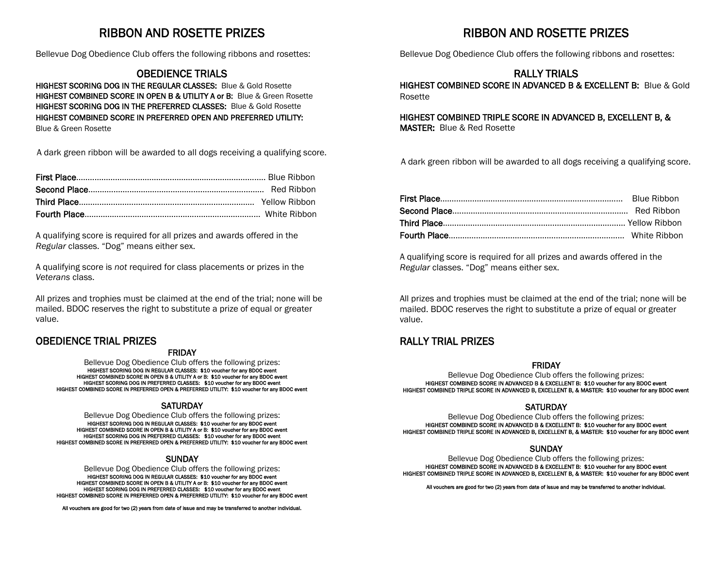# RIBBON AND ROSETTE PRIZES

Bellevue Dog Obedience Club offers the following ribbons and rosettes:

# OBEDIENCE TRIALS

HIGHEST SCORING DOG IN THE REGULAR CLASSES: Blue & Gold Rosette HIGHEST COMBINED SCORE IN OPEN B & UTILITY A or B: Blue & Green Rosette HIGHEST SCORING DOG IN THE PREFERRED CLASSES: Blue & Gold Rosette HIGHEST COMBINED SCORE IN PREFERRED OPEN AND PREFERRED UTILITY: Blue & Green Rosette

A dark green ribbon will be awarded to all dogs receiving a qualifying score.

A qualifying score is required for all prizes and awards offered in the *Regular* classes. "Dog" means either sex.

A qualifying score is *not* required for class placements or prizes in the *Veterans* class.

All prizes and trophies must be claimed at the end of the trial; none will be mailed. BDOC reserves the right to substitute a prize of equal or greater value.

## OBEDIENCE TRIAL PRIZES

## FRIDAY

Bellevue Dog Obedience Club offers the following prizes: HIGHEST SCORING DOG IN REGULAR CLASSES: \$10 voucher for any BDOC event HIGHEST COMBINED SCORE IN OPEN B & UTILITY A or B: \$10 voucher for any BDOC event HIGHEST SCORING DOG IN PREFERRED CLASSES: \$10 voucher for any BDOC event HIGHEST COMBINED SCORE IN PREFERRED OPEN & PREFERRED UTILITY: \$10 voucher for any BDOC event

## **SATURDAY**

Bellevue Dog Obedience Club offers the following prizes: HIGHEST SCORING DOG IN REGULAR CLASSES: \$10 voucher for any BDOC event HIGHEST COMBINED SCORE IN OPEN B & UTILITY A or B: \$10 voucher for any BDOC event HIGHEST SCORING DOG IN PREFERRED CLASSES: \$10 voucher for any BDOC event HIGHEST COMBINED SCORE IN PREFERRED OPEN & PREFERRED UTILITY: \$10 voucher for any BDOC event

### **SUNDAY**

Bellevue Dog Obedience Club offers the following prizes:

HIGHEST SCORING DOG IN REGULAR CLASSES: \$10 voucher for any BDOC event HIGHEST COMBINED SCORE IN OPEN B & UTILITY A or B: \$10 voucher for any BDOC event. HIGHEST SCORING DOG IN PREFERRED CLASSES: \$10 voucher for any BDOC event HIGHEST COMBINED SCORE IN PREFERRED OPEN & PREFERRED UTILITY: \$10 voucher for any BDOC event

All vouchers are good for two (2) years from date of issue and may be transferred to another individual.

# RIBBON AND ROSETTE PRIZES

Bellevue Dog Obedience Club offers the following ribbons and rosettes:

# RALLY TRIALS

HIGHEST COMBINED SCORE IN ADVANCED B & EXCELLENT B: Blue & Gold Rosette

HIGHEST COMBINED TRIPLE SCORE IN ADVANCED B, EXCELLENT B, & MASTER: Blue & Red Rosette

A dark green ribbon will be awarded to all dogs receiving a qualifying score.

A qualifying score is required for all prizes and awards offered in the *Regular* classes. "Dog" means either sex.

All prizes and trophies must be claimed at the end of the trial; none will be mailed. BDOC reserves the right to substitute a prize of equal or greater value.

# RALLY TRIAL PRIZES

## FRIDAY

Bellevue Dog Obedience Club offers the following prizes: HIGHEST COMBINED SCORE IN ADVANCED B & EXCELLENT B: \$10 voucher for any BDOC event HIGHEST COMBINED TRIPLE SCORE IN ADVANCED B, EXCELLENT B, & MASTER: \$10 voucher for any BDOC event

## **SATURDAY**

Bellevue Dog Obedience Club offers the following prizes: HIGHEST COMBINED SCORE IN ADVANCED B & EXCELLENT B: \$10 voucher for any BDOC event HIGHEST COMBINED TRIPLE SCORE IN ADVANCED B, EXCELLENT B, & MASTER: \$10 voucher for any BDOC event

## **SUNDAY**

Bellevue Dog Obedience Club offers the following prizes: HIGHEST COMBINED SCORE IN ADVANCED B & EXCELLENT B: \$10 voucher for any BDOC event HIGHEST COMBINED TRIPLE SCORE IN ADVANCED B, EXCELLENT B, & MASTER: \$10 voucher for any BDOC event

All vouchers are good for two (2) years from date of issue and may be transferred to another individual.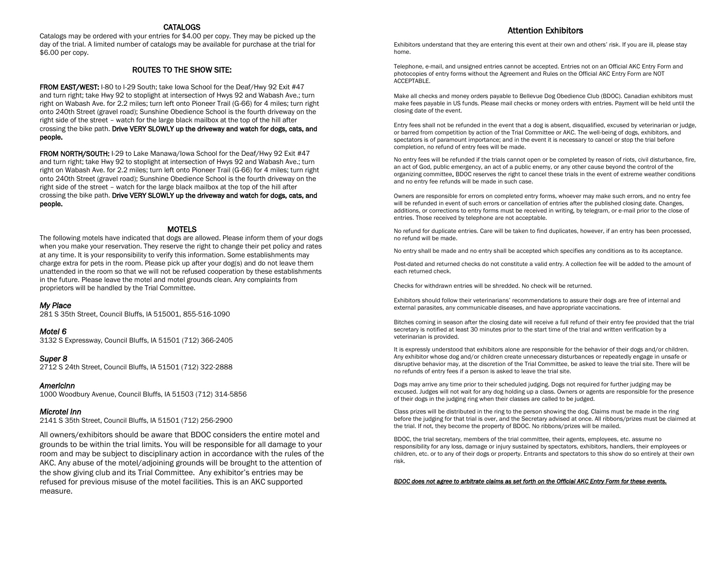### CATALOGS

Catalogs may be ordered with your entries for \$4.00 per copy. They may be picked up the day of the trial. A limited number of catalogs may be available for purchase at the trial for \$6.00 per copy.

#### ROUTES TO THE SHOW SITE:

FROM EAST/WEST: I-80 to I-29 South; take Iowa School for the Deaf/Hwy 92 Exit #47 and turn right; take Hwy 92 to stoplight at intersection of Hwys 92 and Wabash Ave.; turn right on Wabash Ave. for 2.2 miles; turn left onto Pioneer Trail (G-66) for 4 miles; turn right onto 240th Street (gravel road); Sunshine Obedience School is the fourth driveway on the right side of the street – watch for the large black mailbox at the top of the hill after crossing the bike path. Drive VERY SLOWLY up the driveway and watch for dogs, cats, and people.

FROM NORTH/SOUTH: I-29 to Lake Manawa/Iowa School for the Deaf/Hwy 92 Exit #47 and turn right; take Hwy 92 to stoplight at intersection of Hwys 92 and Wabash Ave.; turn right on Wabash Ave. for 2.2 miles; turn left onto Pioneer Trail (G-66) for 4 miles; turn right onto 240th Street (gravel road); Sunshine Obedience School is the fourth driveway on the right side of the street – watch for the large black mailbox at the top of the hill after crossing the bike path. Drive VERY SLOWLY up the driveway and watch for dogs, cats, and people.

#### MOTELS

The following motels have indicated that dogs are allowed. Please inform them of your dogs when you make your reservation. They reserve the right to change their pet policy and rates at any time. It is your responsibility to verify this information. Some establishments may charge extra for pets in the room. Please pick up after your dog(s) and do not leave them unattended in the room so that we will not be refused cooperation by these establishments in the future. Please leave the motel and motel grounds clean. Any complaints from proprietors will be handled by the Trial Committee.

#### *My Place*

281 S 35th Street, Council Bluffs, IA 515001, 855-516-1090

#### *Motel 6*

3132 S Expressway, Council Bluffs, IA 51501 (712) 366-2405

#### *Super 8*

2712 S 24th Street, Council Bluffs, IA 51501 (712) 322-2888

#### *Americinn*

1000 Woodbury Avenue, Council Bluffs, IA 51503 (712) 314-5856

#### *Microtel Inn*

2141 S 35th Street, Council Bluffs, IA 51501 (712) 256-2900

All owners/exhibitors should be aware that BDOC considers the entire motel and grounds to be within the trial limits. You will be responsible for all damage to your room and may be subject to disciplinary action in accordance with the rules of the AKC. Any abuse of the motel/adjoining grounds will be brought to the attention of the show giving club and its Trial Committee. Any exhibitor's entries may be refused for previous misuse of the motel facilities. This is an AKC supported measure.

#### Attention Exhibitors

Exhibitors understand that they are entering this event at their own and others' risk. If you are ill, please stay home.

Telephone, e-mail, and unsigned entries cannot be accepted. Entries not on an Official AKC Entry Form and photocopies of entry forms without the Agreement and Rules on the Official AKC Entry Form are NOT ACCEPTABLE.

Make all checks and money orders payable to Bellevue Dog Obedience Club (BDOC). Canadian exhibitors must make fees payable in US funds. Please mail checks or money orders with entries. Payment will be held until the closing date of the event.

Entry fees shall not be refunded in the event that a dog is absent, disqualified, excused by veterinarian or judge, or barred from competition by action of the Trial Committee or AKC. The well-being of dogs, exhibitors, and spectators is of paramount importance; and in the event it is necessary to cancel or stop the trial before completion, no refund of entry fees will be made.

No entry fees will be refunded if the trials cannot open or be completed by reason of riots, civil disturbance, fire, an act of God, public emergency, an act of a public enemy, or any other cause beyond the control of the organizing committee. BDOC reserves the right to cancel these trials in the event of extreme weather conditions and no entry fee refunds will be made in such case.

Owners are responsible for errors on completed entry forms, whoever may make such errors, and no entry fee will be refunded in event of such errors or cancellation of entries after the published closing date. Changes, additions, or corrections to entry forms must be received in writing, by telegram, or e-mail prior to the close of entries. Those received by telephone are not acceptable.

No refund for duplicate entries. Care will be taken to find duplicates, however, if an entry has been processed, no refund will be made.

No entry shall be made and no entry shall be accepted which specifies any conditions as to its acceptance.

Post-dated and returned checks do not constitute a valid entry. A collection fee will be added to the amount of each returned check.

Checks for withdrawn entries will be shredded. No check will be returned.

Exhibitors should follow their veterinarians' recommendations to assure their dogs are free of internal and external parasites, any communicable diseases, and have appropriate vaccinations.

Bitches coming in season after the closing date will receive a full refund of their entry fee provided that the trial secretary is notified at least 30 minutes prior to the start time of the trial and written verification by a veterinarian is provided.

It is expressly understood that exhibitors alone are responsible for the behavior of their dogs and/or children. Any exhibitor whose dog and/or children create unnecessary disturbances or repeatedly engage in unsafe or disruptive behavior may, at the discretion of the Trial Committee, be asked to leave the trial site. There will be no refunds of entry fees if a person is asked to leave the trial site.

Dogs may arrive any time prior to their scheduled judging. Dogs not required for further judging may be excused. Judges will not wait for any dog holding up a class. Owners or agents are responsible for the presence of their dogs in the judging ring when their classes are called to be judged.

Class prizes will be distributed in the ring to the person showing the dog. Claims must be made in the ring before the judging for that trial is over, and the Secretary advised at once. All ribbons/prizes must be claimed at the trial. If not, they become the property of BDOC. No ribbons/prizes will be mailed.

BDOC, the trial secretary, members of the trial committee, their agents, employees, etc. assume no responsibility for any loss, damage or injury sustained by spectators, exhibitors, handlers, their employees or children, etc. or to any of their dogs or property. Entrants and spectators to this show do so entirely at their own risk.

*BDOC does not agree to arbitrate claims as set forth on the Official AKC Entry Form for these events.*